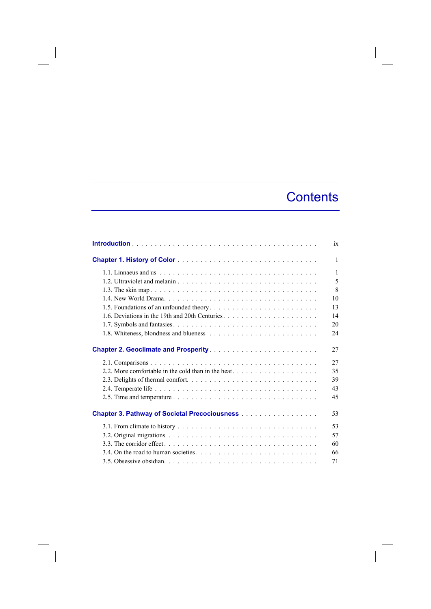## **Contents**

|                                                      | ix           |
|------------------------------------------------------|--------------|
|                                                      | $\mathbf{1}$ |
|                                                      | $\mathbf{1}$ |
|                                                      | 5            |
|                                                      | $\mathbf{8}$ |
|                                                      | 10           |
| 1.5. Foundations of an unfounded theory              | 13           |
|                                                      | 14           |
|                                                      | 20           |
|                                                      | 24           |
| <b>Chapter 2. Geoclimate and Prosperity </b>         | 27           |
|                                                      | 27           |
|                                                      | 35           |
|                                                      | 39           |
|                                                      | 43           |
|                                                      | 45           |
| <b>Chapter 3. Pathway of Societal Precociousness</b> | 53           |
|                                                      | 53           |
|                                                      | 57           |
|                                                      | 60           |
|                                                      | 66           |
|                                                      | 71           |

 $\overline{\phantom{a}}$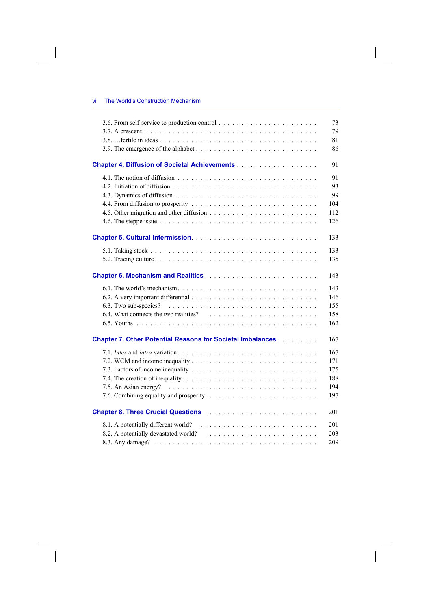$\overline{\phantom{a}}$ 

 $\begin{array}{c} \hline \end{array}$ 

| 79<br>81<br>86<br>91<br>91<br>93<br>99<br>104<br>112<br>126<br>133<br>133<br>135<br>143<br>143<br>146<br>6.3. Two sub-species? $\ldots \ldots \ldots \ldots \ldots \ldots \ldots \ldots \ldots \ldots \ldots \ldots$<br>155<br>158<br>162<br>167<br>167<br>171<br>175<br>188<br>194<br>197<br>201<br>8.1. A potentially different world?<br>201<br>8.2. A potentially devastated world?<br>203<br>209 |                                                                                                                                        |    |
|-------------------------------------------------------------------------------------------------------------------------------------------------------------------------------------------------------------------------------------------------------------------------------------------------------------------------------------------------------------------------------------------------------|----------------------------------------------------------------------------------------------------------------------------------------|----|
|                                                                                                                                                                                                                                                                                                                                                                                                       |                                                                                                                                        | 73 |
|                                                                                                                                                                                                                                                                                                                                                                                                       |                                                                                                                                        |    |
|                                                                                                                                                                                                                                                                                                                                                                                                       |                                                                                                                                        |    |
|                                                                                                                                                                                                                                                                                                                                                                                                       |                                                                                                                                        |    |
|                                                                                                                                                                                                                                                                                                                                                                                                       |                                                                                                                                        |    |
|                                                                                                                                                                                                                                                                                                                                                                                                       |                                                                                                                                        |    |
|                                                                                                                                                                                                                                                                                                                                                                                                       |                                                                                                                                        |    |
|                                                                                                                                                                                                                                                                                                                                                                                                       |                                                                                                                                        |    |
|                                                                                                                                                                                                                                                                                                                                                                                                       |                                                                                                                                        |    |
|                                                                                                                                                                                                                                                                                                                                                                                                       |                                                                                                                                        |    |
|                                                                                                                                                                                                                                                                                                                                                                                                       |                                                                                                                                        |    |
|                                                                                                                                                                                                                                                                                                                                                                                                       |                                                                                                                                        |    |
|                                                                                                                                                                                                                                                                                                                                                                                                       |                                                                                                                                        |    |
|                                                                                                                                                                                                                                                                                                                                                                                                       |                                                                                                                                        |    |
|                                                                                                                                                                                                                                                                                                                                                                                                       |                                                                                                                                        |    |
|                                                                                                                                                                                                                                                                                                                                                                                                       |                                                                                                                                        |    |
|                                                                                                                                                                                                                                                                                                                                                                                                       |                                                                                                                                        |    |
|                                                                                                                                                                                                                                                                                                                                                                                                       |                                                                                                                                        |    |
|                                                                                                                                                                                                                                                                                                                                                                                                       |                                                                                                                                        |    |
|                                                                                                                                                                                                                                                                                                                                                                                                       |                                                                                                                                        |    |
|                                                                                                                                                                                                                                                                                                                                                                                                       |                                                                                                                                        |    |
|                                                                                                                                                                                                                                                                                                                                                                                                       |                                                                                                                                        |    |
|                                                                                                                                                                                                                                                                                                                                                                                                       |                                                                                                                                        |    |
|                                                                                                                                                                                                                                                                                                                                                                                                       | <b>Chapter 7. Other Potential Reasons for Societal Imbalances [1] Allen Chapter 7. Other Potential Reasons for Societal Imbalances</b> |    |
|                                                                                                                                                                                                                                                                                                                                                                                                       |                                                                                                                                        |    |
|                                                                                                                                                                                                                                                                                                                                                                                                       |                                                                                                                                        |    |
|                                                                                                                                                                                                                                                                                                                                                                                                       |                                                                                                                                        |    |
|                                                                                                                                                                                                                                                                                                                                                                                                       |                                                                                                                                        |    |
|                                                                                                                                                                                                                                                                                                                                                                                                       |                                                                                                                                        |    |
|                                                                                                                                                                                                                                                                                                                                                                                                       |                                                                                                                                        |    |
|                                                                                                                                                                                                                                                                                                                                                                                                       |                                                                                                                                        |    |
|                                                                                                                                                                                                                                                                                                                                                                                                       |                                                                                                                                        |    |
|                                                                                                                                                                                                                                                                                                                                                                                                       |                                                                                                                                        |    |
|                                                                                                                                                                                                                                                                                                                                                                                                       |                                                                                                                                        |    |
|                                                                                                                                                                                                                                                                                                                                                                                                       |                                                                                                                                        |    |

 $\overline{\phantom{a}}$